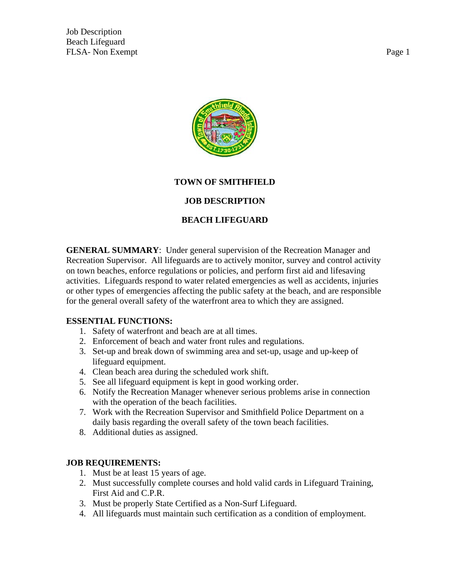Job Description Beach Lifeguard FLSA- Non Exempt Page 1



# **TOWN OF SMITHFIELD**

### **JOB DESCRIPTION**

# **BEACH LIFEGUARD**

**GENERAL SUMMARY**: Under general supervision of the Recreation Manager and Recreation Supervisor. All lifeguards are to actively monitor, survey and control activity on town beaches, enforce regulations or policies, and perform first aid and lifesaving activities. Lifeguards respond to water related emergencies as well as accidents, injuries or other types of emergencies affecting the public safety at the beach, and are responsible for the general overall safety of the waterfront area to which they are assigned.

#### **ESSENTIAL FUNCTIONS:**

- 1. Safety of waterfront and beach are at all times.
- 2. Enforcement of beach and water front rules and regulations.
- 3. Set-up and break down of swimming area and set-up, usage and up-keep of lifeguard equipment.
- 4. Clean beach area during the scheduled work shift.
- 5. See all lifeguard equipment is kept in good working order.
- 6. Notify the Recreation Manager whenever serious problems arise in connection with the operation of the beach facilities.
- 7. Work with the Recreation Supervisor and Smithfield Police Department on a daily basis regarding the overall safety of the town beach facilities.
- 8. Additional duties as assigned.

### **JOB REQUIREMENTS:**

- 1. Must be at least 15 years of age.
- 2. Must successfully complete courses and hold valid cards in Lifeguard Training, First Aid and C.P.R.
- 3. Must be properly State Certified as a Non-Surf Lifeguard.
- 4. All lifeguards must maintain such certification as a condition of employment.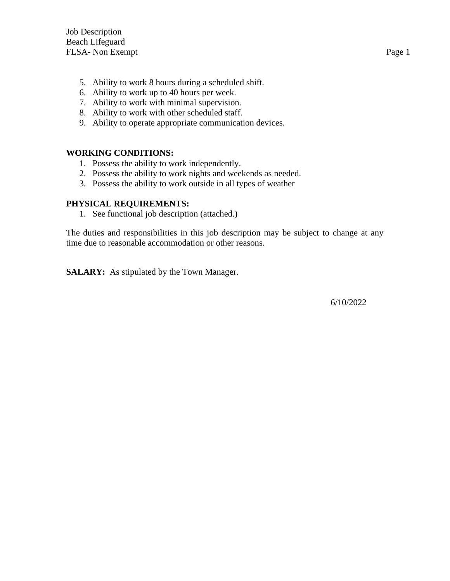- 5. Ability to work 8 hours during a scheduled shift.
- 6. Ability to work up to 40 hours per week.
- 7. Ability to work with minimal supervision.
- 8. Ability to work with other scheduled staff.
- 9. Ability to operate appropriate communication devices.

#### **WORKING CONDITIONS:**

- 1. Possess the ability to work independently.
- 2. Possess the ability to work nights and weekends as needed.
- 3. Possess the ability to work outside in all types of weather

#### **PHYSICAL REQUIREMENTS:**

1. See functional job description (attached.)

The duties and responsibilities in this job description may be subject to change at any time due to reasonable accommodation or other reasons.

**SALARY:** As stipulated by the Town Manager.

6/10/2022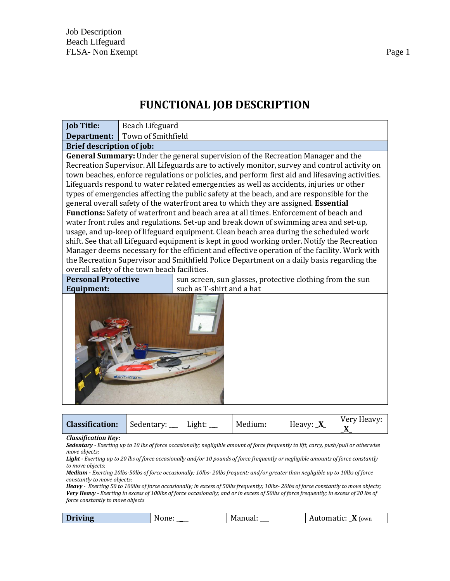# **FUNCTIONAL JOB DESCRIPTION**

| <b>Job Title:</b>                                                                                                                                                                                                                                                                                                                                                                                                                                                                                                                                                                                                                                                                                                                                                                                                                                                                                                                                                                                                                                                                                                                                                                            | Beach Lifeguard           |  |  |  |  |  |  |
|----------------------------------------------------------------------------------------------------------------------------------------------------------------------------------------------------------------------------------------------------------------------------------------------------------------------------------------------------------------------------------------------------------------------------------------------------------------------------------------------------------------------------------------------------------------------------------------------------------------------------------------------------------------------------------------------------------------------------------------------------------------------------------------------------------------------------------------------------------------------------------------------------------------------------------------------------------------------------------------------------------------------------------------------------------------------------------------------------------------------------------------------------------------------------------------------|---------------------------|--|--|--|--|--|--|
| Department:                                                                                                                                                                                                                                                                                                                                                                                                                                                                                                                                                                                                                                                                                                                                                                                                                                                                                                                                                                                                                                                                                                                                                                                  | Town of Smithfield        |  |  |  |  |  |  |
| <b>Brief description of job:</b>                                                                                                                                                                                                                                                                                                                                                                                                                                                                                                                                                                                                                                                                                                                                                                                                                                                                                                                                                                                                                                                                                                                                                             |                           |  |  |  |  |  |  |
| General Summary: Under the general supervision of the Recreation Manager and the<br>Recreation Supervisor. All Lifeguards are to actively monitor, survey and control activity on<br>town beaches, enforce regulations or policies, and perform first aid and lifesaving activities.<br>Lifeguards respond to water related emergencies as well as accidents, injuries or other<br>types of emergencies affecting the public safety at the beach, and are responsible for the<br>general overall safety of the waterfront area to which they are assigned. Essential<br>Functions: Safety of waterfront and beach area at all times. Enforcement of beach and<br>water front rules and regulations. Set-up and break down of swimming area and set-up,<br>usage, and up-keep of lifeguard equipment. Clean beach area during the scheduled work<br>shift. See that all Lifeguard equipment is kept in good working order. Notify the Recreation<br>Manager deems necessary for the efficient and effective operation of the facility. Work with<br>the Recreation Supervisor and Smithfield Police Department on a daily basis regarding the<br>overall safety of the town beach facilities. |                           |  |  |  |  |  |  |
| <b>Personal Protective</b><br>sun screen, sun glasses, protective clothing from the sun                                                                                                                                                                                                                                                                                                                                                                                                                                                                                                                                                                                                                                                                                                                                                                                                                                                                                                                                                                                                                                                                                                      |                           |  |  |  |  |  |  |
| <b>Equipment:</b>                                                                                                                                                                                                                                                                                                                                                                                                                                                                                                                                                                                                                                                                                                                                                                                                                                                                                                                                                                                                                                                                                                                                                                            | such as T-shirt and a hat |  |  |  |  |  |  |
| SCRAMBLER XI                                                                                                                                                                                                                                                                                                                                                                                                                                                                                                                                                                                                                                                                                                                                                                                                                                                                                                                                                                                                                                                                                                                                                                                 |                           |  |  |  |  |  |  |

|--|

*Classification Key:*

*Sedentary - Exerting up to 10 lbs of force occasionally; negligible amount of force frequently to lift, carry, push/pull or otherwise move objects;* 

*Light - Exerting up to 20 lbs of force occasionally and/or 10 pounds of force frequently or negligible amounts of force constantly to move objects;* 

*Medium - Exerting 20lbs-50lbs of force occasionally; 10lbs- 20lbs frequent; and/or greater than negligible up to 10lbs of force constantly to move objects;* 

*Heavy - Exerting 50 to 100lbs of force occasionally; in excess of 50lbs frequently; 10lbs- 20lbs of force constantly to move objects; Very Heavy - Exerting in excess of 100lbs of force occasionally; and or in excess of 50lbs of force frequently; in excess of 20 lbs of force constantly to move objects*

| (own<br>$L1$ IV $n \in \mathbb{Z}$<br>.<br>. .<br>$\overline{\phantom{0}}$<br>. . |
|-----------------------------------------------------------------------------------|
|-----------------------------------------------------------------------------------|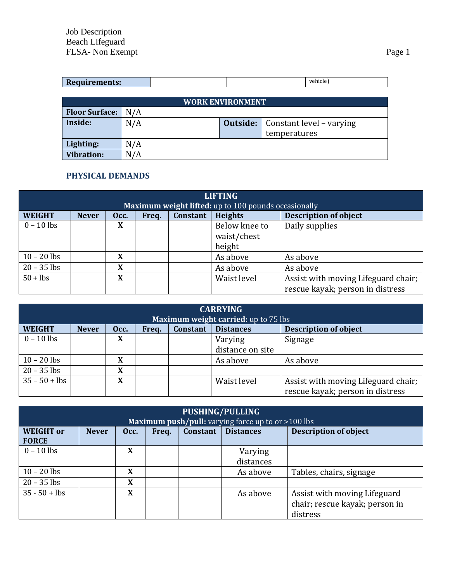| vehick<br>D |                      |  |  |
|-------------|----------------------|--|--|
|             | <b>Requirements:</b> |  |  |

| <b>WORK ENVIRONMENT</b> |     |  |                                            |  |  |  |  |
|-------------------------|-----|--|--------------------------------------------|--|--|--|--|
| <b>Floor Surface:</b>   | N/A |  |                                            |  |  |  |  |
| Inside:                 | N/A |  | <b>Outside:</b>   Constant level – varying |  |  |  |  |
|                         |     |  | temperatures                               |  |  |  |  |
| Lighting:               | N/A |  |                                            |  |  |  |  |
| <b>Vibration:</b>       | N/A |  |                                            |  |  |  |  |

# **PHYSICAL DEMANDS**

| <b>LIFTING</b>                                       |              |      |       |          |                |                                     |  |
|------------------------------------------------------|--------------|------|-------|----------|----------------|-------------------------------------|--|
| Maximum weight lifted: up to 100 pounds occasionally |              |      |       |          |                |                                     |  |
| <b>WEIGHT</b>                                        | <b>Never</b> | Occ. | Freq. | Constant | <b>Heights</b> | <b>Description of object</b>        |  |
| $0 - 10$ lbs                                         |              | X    |       |          | Below knee to  | Daily supplies                      |  |
|                                                      |              |      |       |          | waist/chest    |                                     |  |
|                                                      |              |      |       |          | height         |                                     |  |
| $10 - 20$ lbs                                        |              | X    |       |          | As above       | As above                            |  |
| $20 - 35$ lbs                                        |              | X    |       |          | As above       | As above                            |  |
| $50 + lbs$                                           |              | X    |       |          | Waist level    | Assist with moving Lifeguard chair; |  |
|                                                      |              |      |       |          |                | rescue kayak; person in distress    |  |

|                 |              | <b>CARRYING</b><br>Maximum weight carried: up to 75 lbs |       |                 |                  |                                                                         |  |
|-----------------|--------------|---------------------------------------------------------|-------|-----------------|------------------|-------------------------------------------------------------------------|--|
| <b>WEIGHT</b>   | <b>Never</b> | Occ.                                                    | Freq. | <b>Constant</b> | <b>Distances</b> | <b>Description of object</b>                                            |  |
| $0 - 10$ lbs    |              | X                                                       |       |                 | Varying          | Signage                                                                 |  |
|                 |              |                                                         |       |                 | distance on site |                                                                         |  |
| $10 - 20$ lbs   |              | X                                                       |       |                 | As above         | As above                                                                |  |
| $20 - 35$ lbs   |              | X                                                       |       |                 |                  |                                                                         |  |
| $35 - 50 + lbs$ |              | X                                                       |       |                 | Waist level      | Assist with moving Lifeguard chair;<br>rescue kayak; person in distress |  |

| PUSHING/PULLING<br><b>Maximum push/pull:</b> varying force up to or $>100$ lbs |              |      |       |                 |                      |                                                                            |  |
|--------------------------------------------------------------------------------|--------------|------|-------|-----------------|----------------------|----------------------------------------------------------------------------|--|
| <b>WEIGHT</b> or<br><b>FORCE</b>                                               | <b>Never</b> | Occ. | Freq. | <b>Constant</b> | <b>Distances</b>     | <b>Description of object</b>                                               |  |
| $0 - 10$ lbs                                                                   |              | X    |       |                 | Varying<br>distances |                                                                            |  |
| $10 - 20$ lbs                                                                  |              | X    |       |                 | As above             | Tables, chairs, signage                                                    |  |
| $20 - 35$ lbs                                                                  |              | X    |       |                 |                      |                                                                            |  |
| $35 - 50 + lbs$                                                                |              | X    |       |                 | As above             | Assist with moving Lifeguard<br>chair; rescue kayak; person in<br>distress |  |